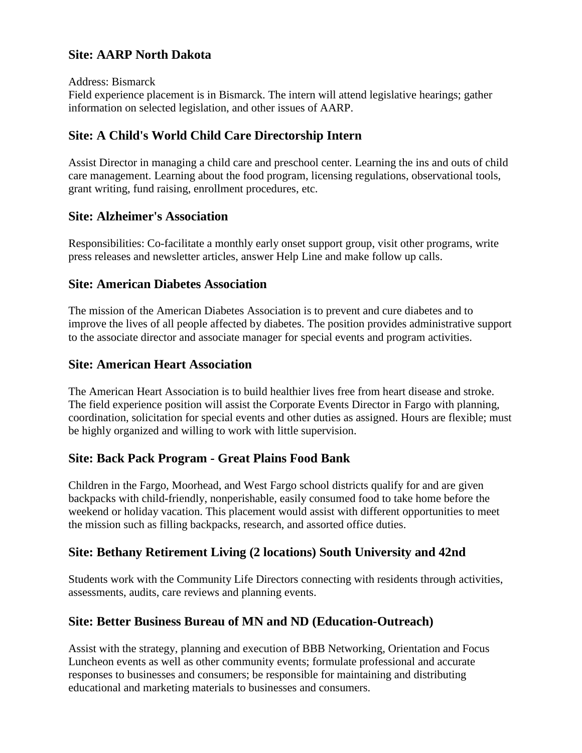### **Site: AARP North Dakota**

Address: Bismarck

Field experience placement is in Bismarck. The intern will attend legislative hearings; gather information on selected legislation, and other issues of AARP.

# **Site: A Child's World Child Care Directorship Intern**

Assist Director in managing a child care and preschool center. Learning the ins and outs of child care management. Learning about the food program, licensing regulations, observational tools, grant writing, fund raising, enrollment procedures, etc.

## **Site: Alzheimer's Association**

Responsibilities: Co-facilitate a monthly early onset support group, visit other programs, write press releases and newsletter articles, answer Help Line and make follow up calls.

## **Site: American Diabetes Association**

The mission of the American Diabetes Association is to prevent and cure diabetes and to improve the lives of all people affected by diabetes. The position provides administrative support to the associate director and associate manager for special events and program activities.

## **Site: American Heart Association**

The American Heart Association is to build healthier lives free from heart disease and stroke. The field experience position will assist the Corporate Events Director in Fargo with planning, coordination, solicitation for special events and other duties as assigned. Hours are flexible; must be highly organized and willing to work with little supervision.

# **Site: Back Pack Program - Great Plains Food Bank**

Children in the Fargo, Moorhead, and West Fargo school districts qualify for and are given backpacks with child-friendly, nonperishable, easily consumed food to take home before the weekend or holiday vacation. This placement would assist with different opportunities to meet the mission such as filling backpacks, research, and assorted office duties.

# **Site: Bethany Retirement Living (2 locations) South University and 42nd**

Students work with the Community Life Directors connecting with residents through activities, assessments, audits, care reviews and planning events.

# **Site: Better Business Bureau of MN and ND (Education-Outreach)**

Assist with the strategy, planning and execution of BBB Networking, Orientation and Focus Luncheon events as well as other community events; formulate professional and accurate responses to businesses and consumers; be responsible for maintaining and distributing educational and marketing materials to businesses and consumers.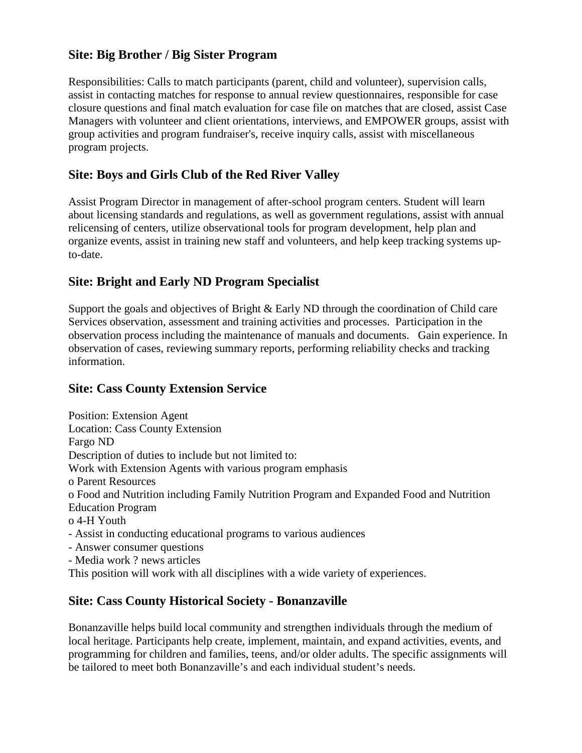## **Site: Big Brother / Big Sister Program**

Responsibilities: Calls to match participants (parent, child and volunteer), supervision calls, assist in contacting matches for response to annual review questionnaires, responsible for case closure questions and final match evaluation for case file on matches that are closed, assist Case Managers with volunteer and client orientations, interviews, and EMPOWER groups, assist with group activities and program fundraiser's, receive inquiry calls, assist with miscellaneous program projects.

# **Site: Boys and Girls Club of the Red River Valley**

Assist Program Director in management of after-school program centers. Student will learn about licensing standards and regulations, as well as government regulations, assist with annual relicensing of centers, utilize observational tools for program development, help plan and organize events, assist in training new staff and volunteers, and help keep tracking systems upto-date.

# **Site: Bright and Early ND Program Specialist**

Support the goals and objectives of Bright & Early ND through the coordination of Child care Services observation, assessment and training activities and processes. Participation in the observation process including the maintenance of manuals and documents. Gain experience. In observation of cases, reviewing summary reports, performing reliability checks and tracking information.

# **Site: Cass County Extension Service**

Position: Extension Agent Location: Cass County Extension Fargo ND Description of duties to include but not limited to: Work with Extension Agents with various program emphasis o Parent Resources o Food and Nutrition including Family Nutrition Program and Expanded Food and Nutrition Education Program o 4-H Youth - Assist in conducting educational programs to various audiences - Answer consumer questions - Media work ? news articles

This position will work with all disciplines with a wide variety of experiences.

# **Site: Cass County Historical Society - Bonanzaville**

Bonanzaville helps build local community and strengthen individuals through the medium of local heritage. Participants help create, implement, maintain, and expand activities, events, and programming for children and families, teens, and/or older adults. The specific assignments will be tailored to meet both Bonanzaville's and each individual student's needs.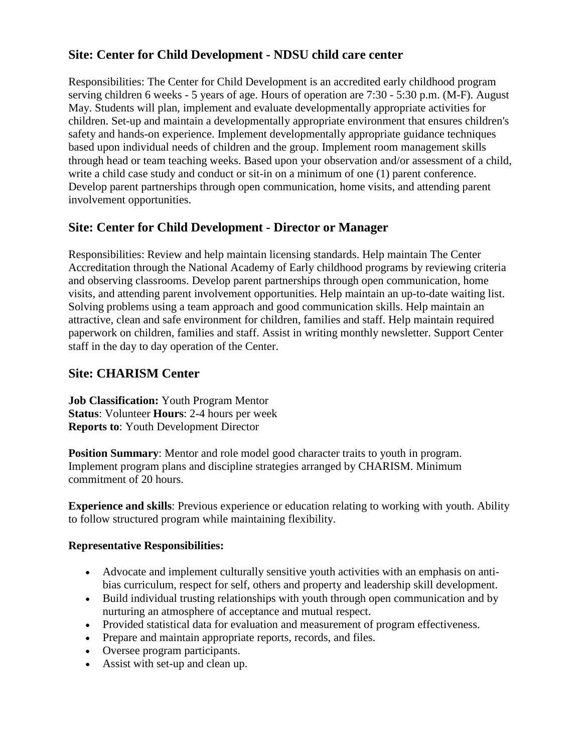# **Site: Center for Child Development - NDSU child care center**

Responsibilities: The Center for Child Development is an accredited early childhood program serving children 6 weeks - 5 years of age. Hours of operation are 7:30 - 5:30 p.m. (M-F). August May. Students will plan, implement and evaluate developmentally appropriate activities for children. Set-up and maintain a developmentally appropriate environment that ensures children's safety and hands-on experience. Implement developmentally appropriate guidance techniques based upon individual needs of children and the group. Implement room management skills through head or team teaching weeks. Based upon your observation and/or assessment of a child, write a child case study and conduct or sit-in on a minimum of one (1) parent conference. Develop parent partnerships through open communication, home visits, and attending parent involvement opportunities.

# **Site: Center for Child Development - Director or Manager**

Responsibilities: Review and help maintain licensing standards. Help maintain The Center Accreditation through the National Academy of Early childhood programs by reviewing criteria and observing classrooms. Develop parent partnerships through open communication, home visits, and attending parent involvement opportunities. Help maintain an up-to-date waiting list. Solving problems using a team approach and good communication skills. Help maintain an attractive, clean and safe environment for children, families and staff. Help maintain required paperwork on children, families and staff. Assist in writing monthly newsletter. Support Center staff in the day to day operation of the Center.

# **Site: CHARISM Center**

**Job Classification:** Youth Program Mentor **Status**: Volunteer **Hours**: 2-4 hours per week **Reports to**: Youth Development Director

**Position Summary:** Mentor and role model good character traits to youth in program. Implement program plans and discipline strategies arranged by CHARISM. Minimum commitment of 20 hours.

**Experience and skills**: Previous experience or education relating to working with youth. Ability to follow structured program while maintaining flexibility.

#### **Representative Responsibilities:**

- Advocate and implement culturally sensitive youth activities with an emphasis on antibias curriculum, respect for self, others and property and leadership skill development.
- Build individual trusting relationships with youth through open communication and by nurturing an atmosphere of acceptance and mutual respect.
- Provided statistical data for evaluation and measurement of program effectiveness.
- Prepare and maintain appropriate reports, records, and files.
- Oversee program participants.
- Assist with set-up and clean up.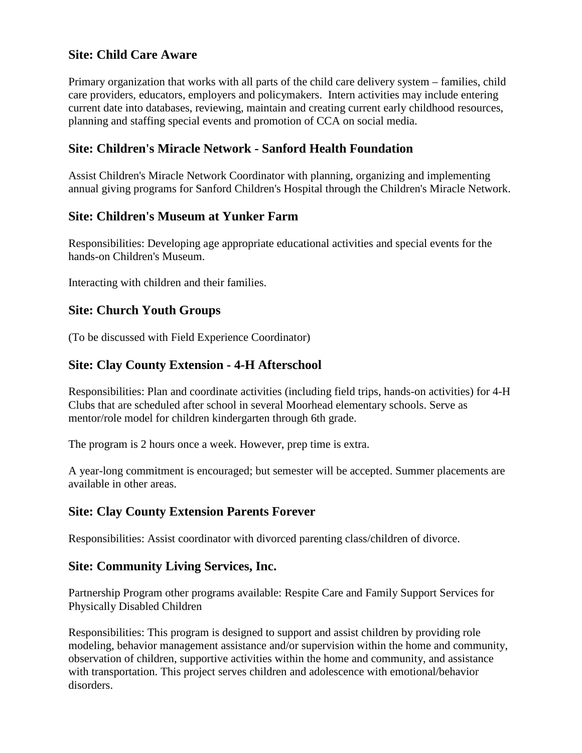## **Site: Child Care Aware**

Primary organization that works with all parts of the child care delivery system – families, child care providers, educators, employers and policymakers. Intern activities may include entering current date into databases, reviewing, maintain and creating current early childhood resources, planning and staffing special events and promotion of CCA on social media.

### **Site: Children's Miracle Network - Sanford Health Foundation**

Assist Children's Miracle Network Coordinator with planning, organizing and implementing annual giving programs for Sanford Children's Hospital through the Children's Miracle Network.

## **Site: Children's Museum at Yunker Farm**

Responsibilities: Developing age appropriate educational activities and special events for the hands-on Children's Museum.

Interacting with children and their families.

## **Site: Church Youth Groups**

(To be discussed with Field Experience Coordinator)

#### **Site: Clay County Extension - 4-H Afterschool**

Responsibilities: Plan and coordinate activities (including field trips, hands-on activities) for 4-H Clubs that are scheduled after school in several Moorhead elementary schools. Serve as mentor/role model for children kindergarten through 6th grade.

The program is 2 hours once a week. However, prep time is extra.

A year-long commitment is encouraged; but semester will be accepted. Summer placements are available in other areas.

#### **Site: Clay County Extension Parents Forever**

Responsibilities: Assist coordinator with divorced parenting class/children of divorce.

#### **Site: Community Living Services, Inc.**

Partnership Program other programs available: Respite Care and Family Support Services for Physically Disabled Children

Responsibilities: This program is designed to support and assist children by providing role modeling, behavior management assistance and/or supervision within the home and community, observation of children, supportive activities within the home and community, and assistance with transportation. This project serves children and adolescence with emotional/behavior disorders.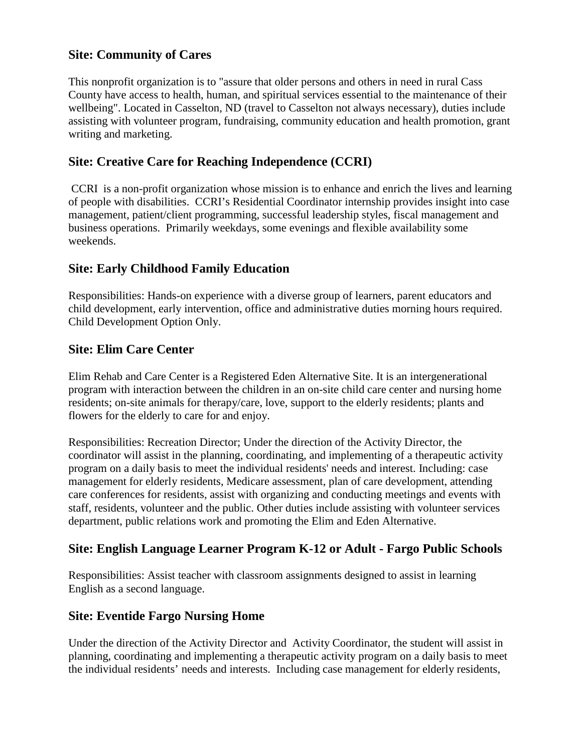# **Site: Community of Cares**

This nonprofit organization is to "assure that older persons and others in need in rural Cass County have access to health, human, and spiritual services essential to the maintenance of their wellbeing". Located in Casselton, ND (travel to Casselton not always necessary), duties include assisting with volunteer program, fundraising, community education and health promotion, grant writing and marketing.

## **Site: Creative Care for Reaching Independence (CCRI)**

CCRI is a non-profit organization whose mission is to enhance and enrich the lives and learning of people with disabilities. CCRI's Residential Coordinator internship provides insight into case management, patient/client programming, successful leadership styles, fiscal management and business operations. Primarily weekdays, some evenings and flexible availability some weekends.

# **Site: Early Childhood Family Education**

Responsibilities: Hands-on experience with a diverse group of learners, parent educators and child development, early intervention, office and administrative duties morning hours required. Child Development Option Only.

## **Site: Elim Care Center**

Elim Rehab and Care Center is a Registered Eden Alternative Site. It is an intergenerational program with interaction between the children in an on-site child care center and nursing home residents; on-site animals for therapy/care, love, support to the elderly residents; plants and flowers for the elderly to care for and enjoy.

Responsibilities: Recreation Director; Under the direction of the Activity Director, the coordinator will assist in the planning, coordinating, and implementing of a therapeutic activity program on a daily basis to meet the individual residents' needs and interest. Including: case management for elderly residents, Medicare assessment, plan of care development, attending care conferences for residents, assist with organizing and conducting meetings and events with staff, residents, volunteer and the public. Other duties include assisting with volunteer services department, public relations work and promoting the Elim and Eden Alternative.

# **Site: English Language Learner Program K-12 or Adult - Fargo Public Schools**

Responsibilities: Assist teacher with classroom assignments designed to assist in learning English as a second language.

#### **Site: Eventide Fargo Nursing Home**

Under the direction of the Activity Director and Activity Coordinator, the student will assist in planning, coordinating and implementing a therapeutic activity program on a daily basis to meet the individual residents' needs and interests. Including case management for elderly residents,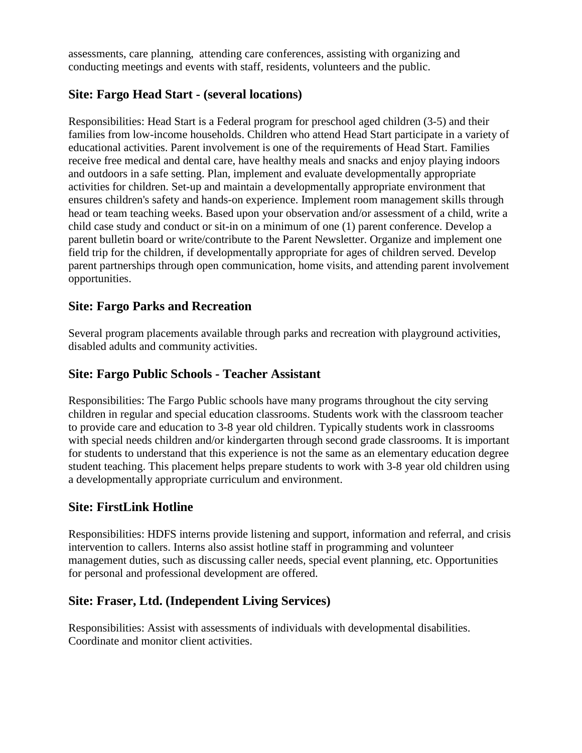assessments, care planning, attending care conferences, assisting with organizing and conducting meetings and events with staff, residents, volunteers and the public.

## **Site: Fargo Head Start - (several locations)**

Responsibilities: Head Start is a Federal program for preschool aged children (3-5) and their families from low-income households. Children who attend Head Start participate in a variety of educational activities. Parent involvement is one of the requirements of Head Start. Families receive free medical and dental care, have healthy meals and snacks and enjoy playing indoors and outdoors in a safe setting. Plan, implement and evaluate developmentally appropriate activities for children. Set-up and maintain a developmentally appropriate environment that ensures children's safety and hands-on experience. Implement room management skills through head or team teaching weeks. Based upon your observation and/or assessment of a child, write a child case study and conduct or sit-in on a minimum of one (1) parent conference. Develop a parent bulletin board or write/contribute to the Parent Newsletter. Organize and implement one field trip for the children, if developmentally appropriate for ages of children served. Develop parent partnerships through open communication, home visits, and attending parent involvement opportunities.

#### **Site: Fargo Parks and Recreation**

Several program placements available through parks and recreation with playground activities, disabled adults and community activities.

#### **Site: Fargo Public Schools - Teacher Assistant**

Responsibilities: The Fargo Public schools have many programs throughout the city serving children in regular and special education classrooms. Students work with the classroom teacher to provide care and education to 3-8 year old children. Typically students work in classrooms with special needs children and/or kindergarten through second grade classrooms. It is important for students to understand that this experience is not the same as an elementary education degree student teaching. This placement helps prepare students to work with 3-8 year old children using a developmentally appropriate curriculum and environment.

#### **Site: FirstLink Hotline**

Responsibilities: HDFS interns provide listening and support, information and referral, and crisis intervention to callers. Interns also assist hotline staff in programming and volunteer management duties, such as discussing caller needs, special event planning, etc. Opportunities for personal and professional development are offered.

#### **Site: Fraser, Ltd. (Independent Living Services)**

Responsibilities: Assist with assessments of individuals with developmental disabilities. Coordinate and monitor client activities.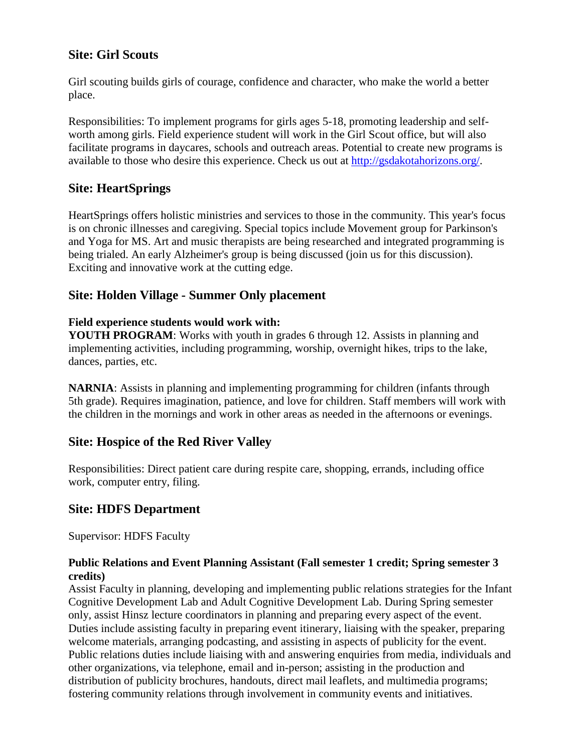### **Site: Girl Scouts**

Girl scouting builds girls of courage, confidence and character, who make the world a better place.

Responsibilities: To implement programs for girls ages 5-18, promoting leadership and selfworth among girls. Field experience student will work in the Girl Scout office, but will also facilitate programs in daycares, schools and outreach areas. Potential to create new programs is available to those who desire this experience. Check us out at [http://gsdakotahorizons.org/.](http://gsdakotahorizons.org/)

### **Site: HeartSprings**

HeartSprings offers holistic ministries and services to those in the community. This year's focus is on chronic illnesses and caregiving. Special topics include Movement group for Parkinson's and Yoga for MS. Art and music therapists are being researched and integrated programming is being trialed. An early Alzheimer's group is being discussed (join us for this discussion). Exciting and innovative work at the cutting edge.

## **Site: Holden Village - Summer Only placement**

#### **Field experience students would work with:**

**YOUTH PROGRAM:** Works with youth in grades 6 through 12. Assists in planning and implementing activities, including programming, worship, overnight hikes, trips to the lake, dances, parties, etc.

**NARNIA**: Assists in planning and implementing programming for children (infants through 5th grade). Requires imagination, patience, and love for children. Staff members will work with the children in the mornings and work in other areas as needed in the afternoons or evenings.

# **Site: Hospice of the Red River Valley**

Responsibilities: Direct patient care during respite care, shopping, errands, including office work, computer entry, filing.

# **Site: HDFS Department**

Supervisor: HDFS Faculty

#### **Public Relations and Event Planning Assistant (Fall semester 1 credit; Spring semester 3 credits)**

Assist Faculty in planning, developing and implementing public relations strategies for the Infant Cognitive Development Lab and Adult Cognitive Development Lab. During Spring semester only, assist Hinsz lecture coordinators in planning and preparing every aspect of the event. Duties include assisting faculty in preparing event itinerary, liaising with the speaker, preparing welcome materials, arranging podcasting, and assisting in aspects of publicity for the event. Public relations duties include liaising with and answering enquiries from media, individuals and other organizations, via telephone, email and in-person; assisting in the production and distribution of publicity brochures, handouts, direct mail leaflets, and multimedia programs; fostering community relations through involvement in community events and initiatives.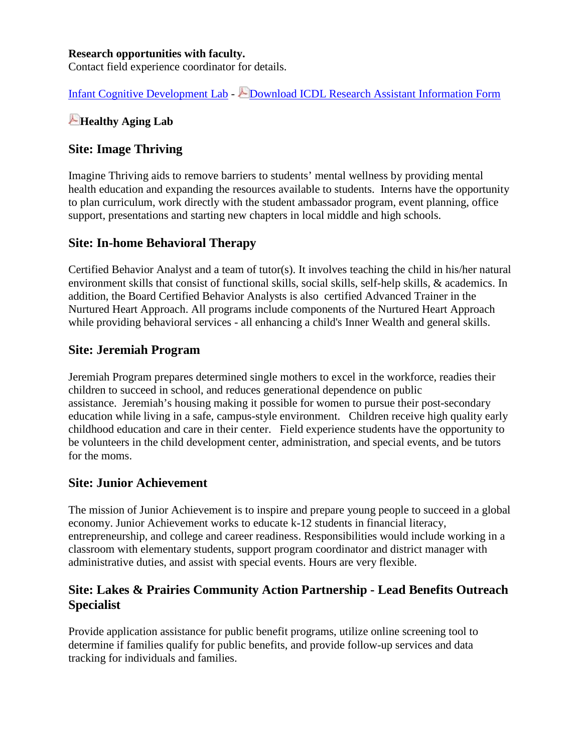#### **Research opportunities with faculty.**

Contact field experience coordinator for details.

[Infant Cognitive Development Lab](https://www.ndsu.edu/centers/cvcn/labs/woods/index.php) - [Download ICDL Research Assistant Information Form](https://www.ndsu.edu/fileadmin/hdfs/documents/research_senior_thesis/ICDL_Research_Assistant_Information.pdf)

# **[Healthy Aging Lab](https://www.ndsu.edu/fileadmin/hdfs/documents/misc/Healthy__Lab_Flyer_Spring_and_Summer_2013__2_.pdf)**

#### **Site: Image Thriving**

Imagine Thriving aids to remove barriers to students' mental wellness by providing mental health education and expanding the resources available to students. Interns have the opportunity to plan curriculum, work directly with the student ambassador program, event planning, office support, presentations and starting new chapters in local middle and high schools.

#### **Site: In-home Behavioral Therapy**

Certified Behavior Analyst and a team of tutor(s). It involves teaching the child in his/her natural environment skills that consist of functional skills, social skills, self-help skills, & academics. In addition, the Board Certified Behavior Analysts is also certified Advanced Trainer in the Nurtured Heart Approach. All programs include components of the Nurtured Heart Approach while providing behavioral services - all enhancing a child's Inner Wealth and general skills.

#### **Site: Jeremiah Program**

Jeremiah Program prepares determined single mothers to excel in the workforce, readies their children to succeed in school, and reduces generational dependence on public assistance. Jeremiah's housing making it possible for women to pursue their post-secondary education while living in a safe, campus-style environment. Children receive high quality early childhood education and care in their center. Field experience students have the opportunity to be volunteers in the child development center, administration, and special events, and be tutors for the moms.

### **Site: Junior Achievement**

The mission of Junior Achievement is to inspire and prepare young people to succeed in a global economy. Junior Achievement works to educate k-12 students in financial literacy, entrepreneurship, and college and career readiness. Responsibilities would include working in a classroom with elementary students, support program coordinator and district manager with administrative duties, and assist with special events. Hours are very flexible.

## **Site: Lakes & Prairies Community Action Partnership - Lead Benefits Outreach Specialist**

Provide application assistance for public benefit programs, utilize online screening tool to determine if families qualify for public benefits, and provide follow-up services and data tracking for individuals and families.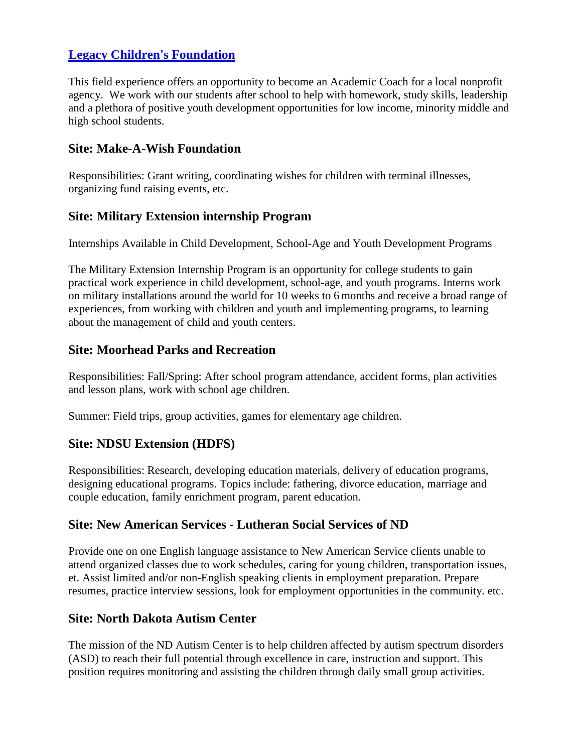# **[Legacy Children's Foundation](http://www.legacychildrensfoundation.com/)**

This field experience offers an opportunity to become an Academic Coach for a local nonprofit agency. We work with our students after school to help with homework, study skills, leadership and a plethora of positive youth development opportunities for low income, minority middle and high school students.

#### **Site: Make-A-Wish Foundation**

Responsibilities: Grant writing, coordinating wishes for children with terminal illnesses, organizing fund raising events, etc.

## **Site: Military Extension internship Program**

Internships Available in Child Development, School-Age and Youth Development Programs

The Military Extension Internship Program is an opportunity for college students to gain practical work experience in child development, school-age, and youth programs. Interns work on military installations around the world for 10 weeks to 6 months and receive a broad range of experiences, from working with children and youth and implementing programs, to learning about the management of child and youth centers.

## **Site: Moorhead Parks and Recreation**

Responsibilities: Fall/Spring: After school program attendance, accident forms, plan activities and lesson plans, work with school age children.

Summer: Field trips, group activities, games for elementary age children.

# **Site: NDSU Extension (HDFS)**

Responsibilities: Research, developing education materials, delivery of education programs, designing educational programs. Topics include: fathering, divorce education, marriage and couple education, family enrichment program, parent education.

#### **Site: New American Services - Lutheran Social Services of ND**

Provide one on one English language assistance to New American Service clients unable to attend organized classes due to work schedules, caring for young children, transportation issues, et. Assist limited and/or non-English speaking clients in employment preparation. Prepare resumes, practice interview sessions, look for employment opportunities in the community. etc.

#### **Site: North Dakota Autism Center**

The mission of the ND Autism Center is to help children affected by autism spectrum disorders (ASD) to reach their full potential through excellence in care, instruction and support. This position requires monitoring and assisting the children through daily small group activities.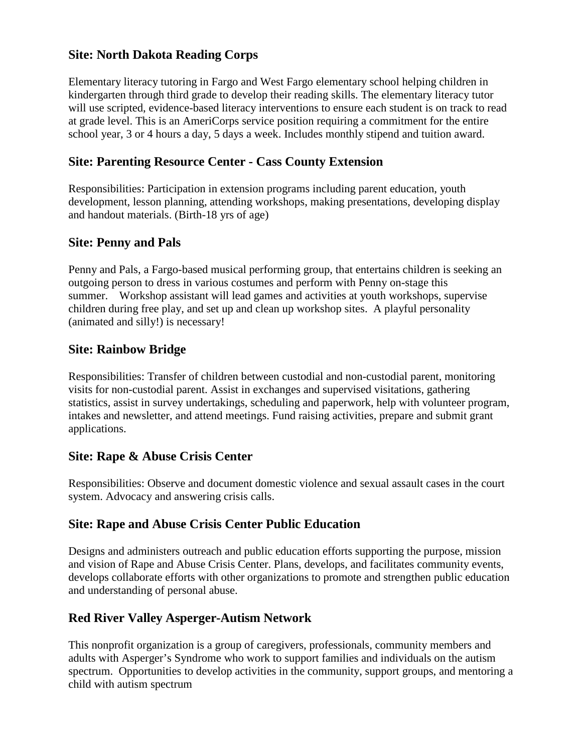# **Site: North Dakota Reading Corps**

Elementary literacy tutoring in Fargo and West Fargo elementary school helping children in kindergarten through third grade to develop their reading skills. The elementary literacy tutor will use scripted, evidence-based literacy interventions to ensure each student is on track to read at grade level. This is an AmeriCorps service position requiring a commitment for the entire school year, 3 or 4 hours a day, 5 days a week. Includes monthly stipend and tuition award.

### **Site: Parenting Resource Center - Cass County Extension**

Responsibilities: Participation in extension programs including parent education, youth development, lesson planning, attending workshops, making presentations, developing display and handout materials. (Birth-18 yrs of age)

#### **Site: Penny and Pals**

Penny and Pals, a Fargo-based musical performing group, that entertains children is seeking an outgoing person to dress in various costumes and perform with Penny on-stage this summer. Workshop assistant will lead games and activities at youth workshops, supervise children during free play, and set up and clean up workshop sites. A playful personality (animated and silly!) is necessary!

## **Site: Rainbow Bridge**

Responsibilities: Transfer of children between custodial and non-custodial parent, monitoring visits for non-custodial parent. Assist in exchanges and supervised visitations, gathering statistics, assist in survey undertakings, scheduling and paperwork, help with volunteer program, intakes and newsletter, and attend meetings. Fund raising activities, prepare and submit grant applications.

### **Site: Rape & Abuse Crisis Center**

Responsibilities: Observe and document domestic violence and sexual assault cases in the court system. Advocacy and answering crisis calls.

# **Site: Rape and Abuse Crisis Center Public Education**

Designs and administers outreach and public education efforts supporting the purpose, mission and vision of Rape and Abuse Crisis Center. Plans, develops, and facilitates community events, develops collaborate efforts with other organizations to promote and strengthen public education and understanding of personal abuse.

# **Red River Valley Asperger-Autism Network**

This nonprofit organization is a group of caregivers, professionals, community members and adults with Asperger's Syndrome who work to support families and individuals on the autism spectrum. Opportunities to develop activities in the community, support groups, and mentoring a child with autism spectrum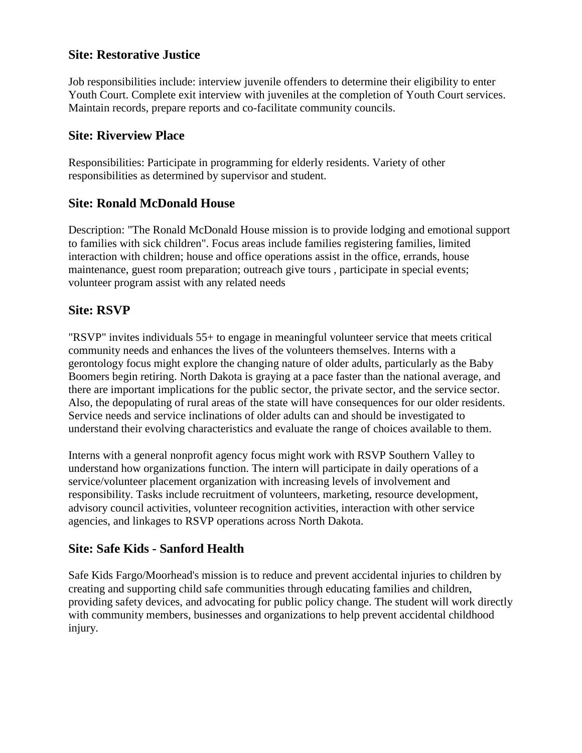### **Site: Restorative Justice**

Job responsibilities include: interview juvenile offenders to determine their eligibility to enter Youth Court. Complete exit interview with juveniles at the completion of Youth Court services. Maintain records, prepare reports and co-facilitate community councils.

### **Site: Riverview Place**

Responsibilities: Participate in programming for elderly residents. Variety of other responsibilities as determined by supervisor and student.

## **Site: Ronald McDonald House**

Description: "The Ronald McDonald House mission is to provide lodging and emotional support to families with sick children". Focus areas include families registering families, limited interaction with children; house and office operations assist in the office, errands, house maintenance, guest room preparation; outreach give tours , participate in special events; volunteer program assist with any related needs

# **Site: RSVP**

"RSVP" invites individuals 55+ to engage in meaningful volunteer service that meets critical community needs and enhances the lives of the volunteers themselves. Interns with a gerontology focus might explore the changing nature of older adults, particularly as the Baby Boomers begin retiring. North Dakota is graying at a pace faster than the national average, and there are important implications for the public sector, the private sector, and the service sector. Also, the depopulating of rural areas of the state will have consequences for our older residents. Service needs and service inclinations of older adults can and should be investigated to understand their evolving characteristics and evaluate the range of choices available to them.

Interns with a general nonprofit agency focus might work with RSVP Southern Valley to understand how organizations function. The intern will participate in daily operations of a service/volunteer placement organization with increasing levels of involvement and responsibility. Tasks include recruitment of volunteers, marketing, resource development, advisory council activities, volunteer recognition activities, interaction with other service agencies, and linkages to RSVP operations across North Dakota.

# **Site: Safe Kids - Sanford Health**

Safe Kids Fargo/Moorhead's mission is to reduce and prevent accidental injuries to children by creating and supporting child safe communities through educating families and children, providing safety devices, and advocating for public policy change. The student will work directly with community members, businesses and organizations to help prevent accidental childhood injury.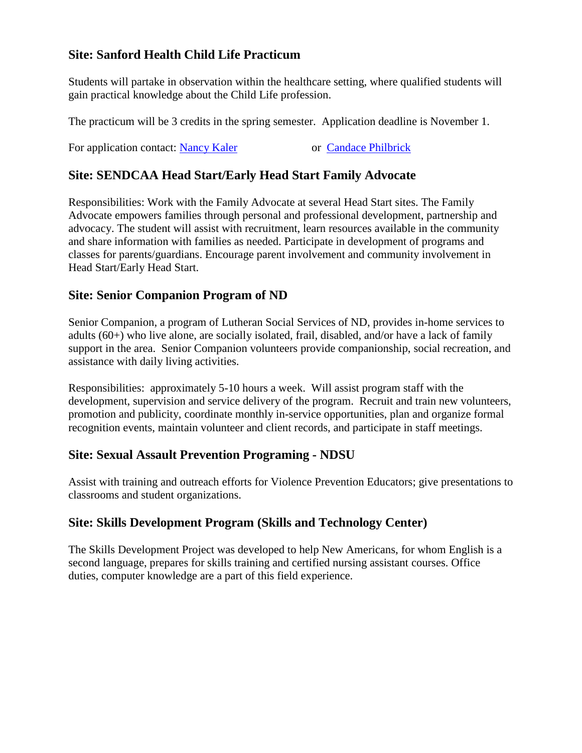# **Site: Sanford Health Child Life Practicum**

Students will partake in observation within the healthcare setting, where qualified students will gain practical knowledge about the Child Life profession.

The practicum will be 3 credits in the spring semester. Application deadline is November 1.

For application contact: [Nancy Kaler](mailto:nancy.kaler@ndsu.edu) or Candace Philbrick

# **Site: SENDCAA Head Start/Early Head Start Family Advocate**

Responsibilities: Work with the Family Advocate at several Head Start sites. The Family Advocate empowers families through personal and professional development, partnership and advocacy. The student will assist with recruitment, learn resources available in the community and share information with families as needed. Participate in development of programs and classes for parents/guardians. Encourage parent involvement and community involvement in Head Start/Early Head Start.

## **Site: Senior Companion Program of ND**

Senior Companion, a program of Lutheran Social Services of ND, provides in-home services to adults (60+) who live alone, are socially isolated, frail, disabled, and/or have a lack of family support in the area. Senior Companion volunteers provide companionship, social recreation, and assistance with daily living activities.

Responsibilities: approximately 5-10 hours a week. Will assist program staff with the development, supervision and service delivery of the program. Recruit and train new volunteers, promotion and publicity, coordinate monthly in-service opportunities, plan and organize formal recognition events, maintain volunteer and client records, and participate in staff meetings.

#### **Site: Sexual Assault Prevention Programing - NDSU**

Assist with training and outreach efforts for Violence Prevention Educators; give presentations to classrooms and student organizations.

# **Site: Skills Development Program (Skills and Technology Center)**

The Skills Development Project was developed to help New Americans, for whom English is a second language, prepares for skills training and certified nursing assistant courses. Office duties, computer knowledge are a part of this field experience.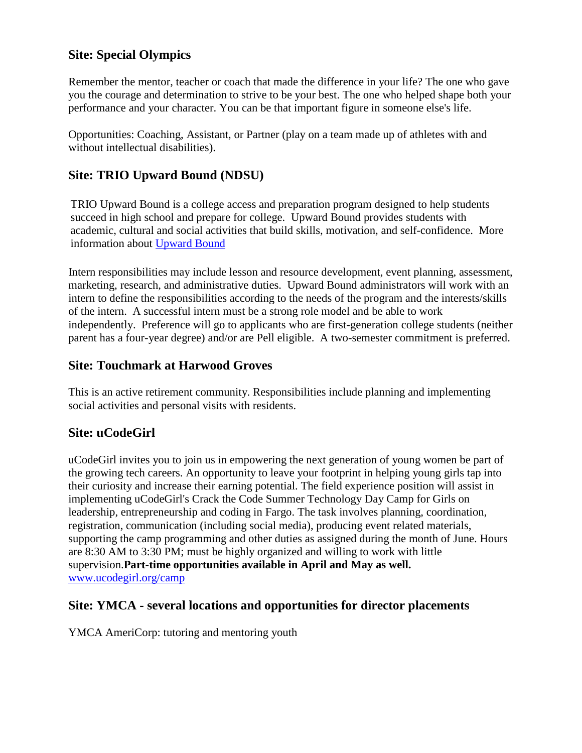# **Site: Special Olympics**

Remember the mentor, teacher or coach that made the difference in your life? The one who gave you the courage and determination to strive to be your best. The one who helped shape both your performance and your character. You can be that important figure in someone else's life.

Opportunities: Coaching, Assistant, or Partner (play on a team made up of athletes with and without intellectual disabilities).

# **Site: TRIO Upward Bound (NDSU)**

TRIO Upward Bound is a college access and preparation program designed to help students succeed in high school and prepare for college. Upward Bound provides students with academic, cultural and social activities that build skills, motivation, and self-confidence. More information about [Upward Bound](https://www.ndsu.edu/trio/upwardbound/)

Intern responsibilities may include lesson and resource development, event planning, assessment, marketing, research, and administrative duties. Upward Bound administrators will work with an intern to define the responsibilities according to the needs of the program and the interests/skills of the intern. A successful intern must be a strong role model and be able to work independently. Preference will go to applicants who are first-generation college students (neither parent has a four-year degree) and/or are Pell eligible. A two-semester commitment is preferred.

#### **Site: Touchmark at Harwood Groves**

This is an active retirement community. Responsibilities include planning and implementing social activities and personal visits with residents.

# **Site: uCodeGirl**

uCodeGirl invites you to join us in empowering the next generation of young women be part of the growing tech careers. An opportunity to leave your footprint in helping young girls tap into their curiosity and increase their earning potential. The field experience position will assist in implementing uCodeGirl's Crack the Code Summer Technology Day Camp for Girls on leadership, entrepreneurship and coding in Fargo. The task involves planning, coordination, registration, communication (including social media), producing event related materials, supporting the camp programming and other duties as assigned during the month of June. Hours are 8:30 AM to 3:30 PM; must be highly organized and willing to work with little supervision.**Part-time opportunities available in April and May as well.**  [www.ucodegirl.org/camp](http://www.ucodegirl.org/cam)

#### **Site: YMCA - several locations and opportunities for director placements**

YMCA AmeriCorp: tutoring and mentoring youth